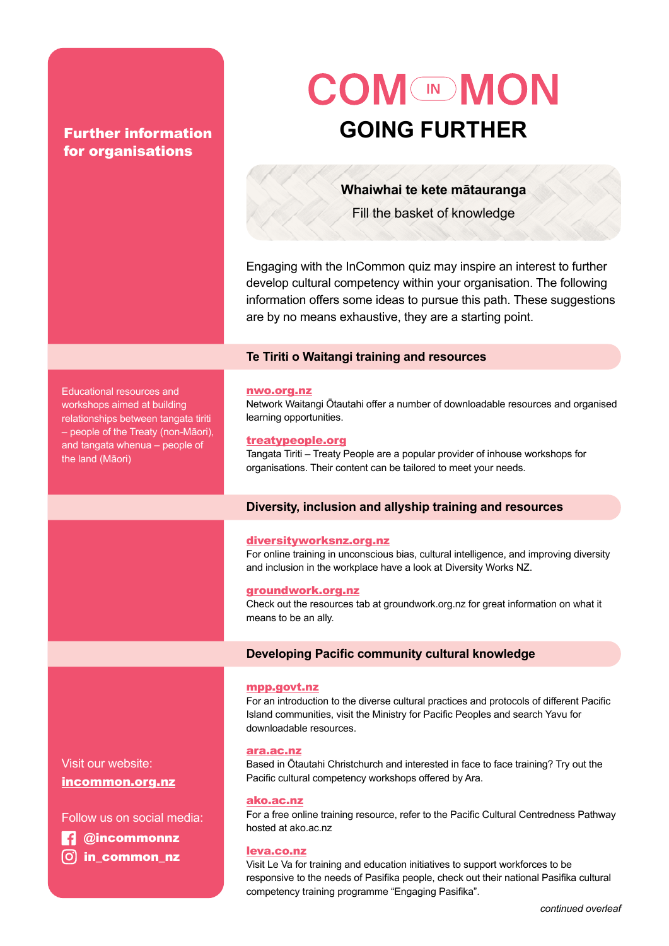# for organisations

Educational resources and workshops aimed at building relationships between tangata tiriti – people of the Treaty (non-Māori), and tangata whenua – people of

the land (Māori)

# **COM MON** Further information **further GOING FURTHER**

**Whaiwhai te kete mātauranga**  Fill the basket of knowledge

Engaging with the InCommon quiz may inspire an interest to further develop cultural competency within your organisation. The following information offers some ideas to pursue this path. These suggestions are by no means exhaustive, they are a starting point.

# **Te Tiriti o Waitangi training and resources**

# [nwo.org.nz](http://nwo.org.nz)

Network Waitangi Ōtautahi offer a number of downloadable resources and organised learning opportunities.

#### [treatypeople.org](http://treatypeople.org)

Tangata Tiriti – Treaty People are a popular provider of inhouse workshops for organisations. Their content can be tailored to meet your needs.

# **Diversity, inclusion and allyship training and resources**

#### [diversityworksnz.org.nz](http://diversityworksnz.org.nz)

For online training in unconscious bias, cultural intelligence, and improving diversity and inclusion in the workplace have a look at Diversity Works NZ.

#### [groundwork.org.nz](http://groundwork.org.nz)

Check out the resources tab at groundwork.org.nz for great information on what it means to be an ally.

# **Developing Pacific community cultural knowledge**

#### [mpp.govt.nz](http://mpp.govt.nz)

For an introduction to the diverse cultural practices and protocols of different Pacific Island communities, visit the Ministry for Pacific Peoples and search Yavu for downloadable resources.

#### [ara.ac.nz](http://ara.ac.nz)

Based in Ōtautahi Christchurch and interested in face to face training? Try out the Pacific cultural competency workshops offered by Ara.

#### [ako.ac.](http://ako.ac.nz)nz

For a free online training resource, refer to the Pacific Cultural Centredness Pathway hosted at ako.ac.nz

#### [leva.co.nz](http://leva.co.nz)

Visit Le Va for training and education initiatives to support workforces to be responsive to the needs of Pasifika people, check out their national Pasifika cultural competency training programme "Engaging Pasifika".

Visit our website: [incommon.org.nz](http://incommon.org.nz)

Follow us on social media:

 **@**incommonnz

 $\boxed{0}$  **in common nz**